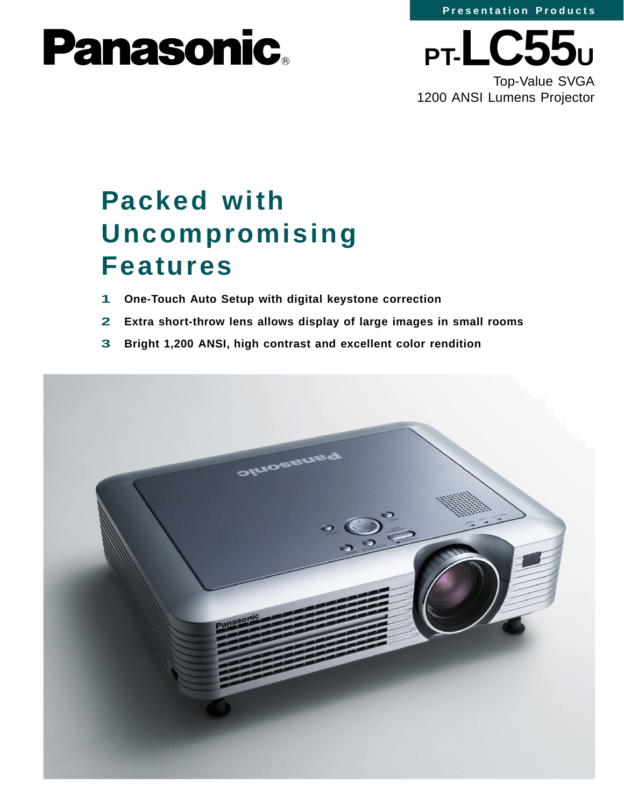

# **Panasonic.**



Top-Value SVGA 1200 ANSI Lumens Projector

## **Packed with Uncompromising Features**

- **1 One-Touch Auto Setup with digital keystone correction**
- **2 Extra short-throw lens allows display of large images in small rooms**
- **3 Bright 1,200 ANSI, high contrast and excellent color rendition**

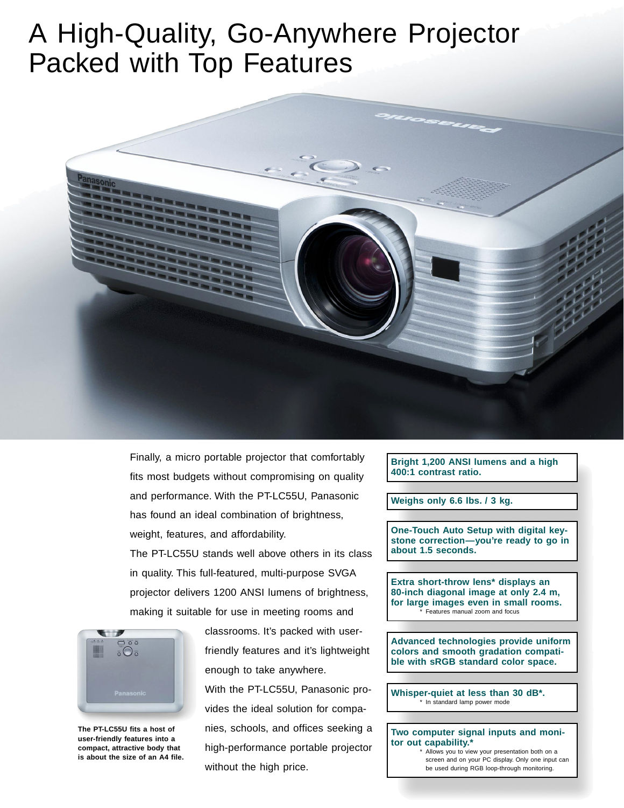### A High-Quality, Go-Anywhere Projector Packed with Top Features



Finally, a micro portable projector that comfortably fits most budgets without compromising on quality and performance. With the PT-LC55U, Panasonic has found an ideal combination of brightness, weight, features, and affordability.

The PT-LC55U stands well above others in its class in quality. This full-featured, multi-purpose SVGA projector delivers 1200 ANSI lumens of brightness, making it suitable for use in meeting rooms and



**The PT-LC55U fits a host of user-friendly features into a compact, attractive body that is about the size of an A4 file.**

classrooms. It's packed with userfriendly features and it's lightweight enough to take anywhere. With the PT-LC55U, Panasonic provides the ideal solution for companies, schools, and offices seeking a high-performance portable projector without the high price.

**Bright 1,200 ANSI lumens and a high 400:1 contrast ratio.**

**Weighs only 6.6 lbs. / 3 kg.**

**One-Touch Auto Setup with digital keystone correction—you're ready to go in about 1.5 seconds.**

**Extra short-throw lens\* displays an 80-inch diagonal image at only 2.4 m, for large images even in small rooms.** Features manual zoom and focus

**Advanced technologies provide uniform colors and smooth gradation compatible with sRGB standard color space.**

**Whisper-quiet at less than 30 dB\*.** \* In standard lamp power mode

**Two computer signal inputs and monitor out capability.\*** Allows you to view your presentation both on a

screen and on your PC display. Only one input can be used during RGB loop-through monitoring.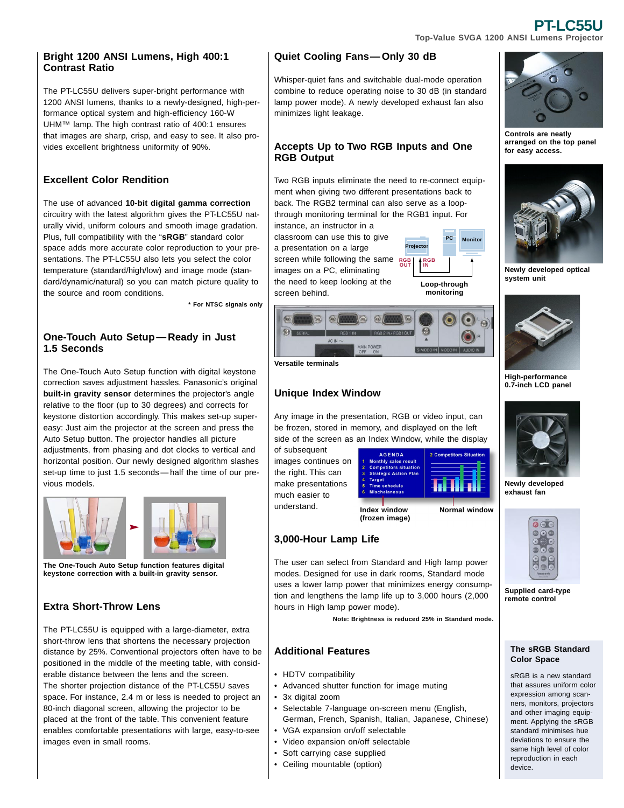#### **Bright 1200 ANSI Lumens, High 400:1 Contrast Ratio**

The PT-LC55U delivers super-bright performance with 1200 ANSI lumens, thanks to a newly-designed, high-performance optical system and high-efficiency 160-W UHM™ lamp. The high contrast ratio of 400:1 ensures that images are sharp, crisp, and easy to see. It also provides excellent brightness uniformity of 90%.

#### **Excellent Color Rendition**

The use of advanced **10-bit digital gamma correction** circuitry with the latest algorithm gives the PT-LC55U naturally vivid, uniform colours and smooth image gradation. Plus, full compatibility with the "**sRGB**" standard color space adds more accurate color reproduction to your presentations. The PT-LC55U also lets you select the color temperature (standard/high/low) and image mode (standard/dynamic/natural) so you can match picture quality to the source and room conditions.

**\* For NTSC signals only**

#### **One-Touch Auto Setup — Ready in Just 1.5 Seconds**

The One-Touch Auto Setup function with digital keystone correction saves adjustment hassles. Panasonic's original **built-in gravity sensor** determines the projector's angle relative to the floor (up to 30 degrees) and corrects for keystone distortion accordingly. This makes set-up supereasy: Just aim the projector at the screen and press the Auto Setup button. The projector handles all picture adjustments, from phasing and dot clocks to vertical and horizontal position. Our newly designed algorithm slashes set-up time to just 1.5 seconds — half the time of our previous models.



**The One-Touch Auto Setup function features digital keystone correction with a built-in gravity sensor.**

### **Extra Short-Throw Lens**

The PT-LC55U is equipped with a large-diameter, extra short-throw lens that shortens the necessary projection distance by 25%. Conventional projectors often have to be positioned in the middle of the meeting table, with considerable distance between the lens and the screen. The shorter projection distance of the PT-LC55U saves space. For instance, 2.4 m or less is needed to project an 80-inch diagonal screen, allowing the projector to be placed at the front of the table. This convenient feature enables comfortable presentations with large, easy-to-see images even in small rooms.

### **Quiet Cooling Fans— Only 30 dB**

Whisper-quiet fans and switchable dual-mode operation combine to reduce operating noise to 30 dB (in standard lamp power mode). A newly developed exhaust fan also minimizes light leakage.

#### **Accepts Up to Two RGB Inputs and One RGB Output**

Two RGB inputs eliminate the need to re-connect equipment when giving two different presentations back to back. The RGB2 terminal can also serve as a loopthrough monitoring terminal for the RGB1 input. For

instance, an instructor in a classroom can use this to give a presentation on a large screen while following the same RGB images on a PC, eliminating the need to keep looking at the screen behind.



#### **Versatile terminals**

#### **Unique Index Window**

Any image in the presentation, RGB or video input, can be frozen, stored in memory, and displayed on the left side of the screen as an Index Window, while the display

of subsequent images continues on the right. This can make presentations much easier to understand.



**Normal window**

**PC Monitor**

**Loop-through monitoring**

**Project RGB IN**

**Index window (frozen image)**

#### **3,000-Hour Lamp Life**

The user can select from Standard and High lamp power modes. Designed for use in dark rooms, Standard mode uses a lower lamp power that minimizes energy consumption and lengthens the lamp life up to 3,000 hours (2,000 hours in High lamp power mode).

**Note: Brightness is reduced 25% in Standard mode.**

#### **Additional Features**

- HDTV compatibility
- Advanced shutter function for image muting
- 3x digital zoom
- Selectable 7-language on-screen menu (English, German, French, Spanish, Italian, Japanese, Chinese)
- VGA expansion on/off selectable
- Video expansion on/off selectable
- Soft carrying case supplied
- Ceiling mountable (option)

**Controls are neatly arranged on the top panel for easy access.**



**Newly developed optical system unit**



**High-performance 0.7-inch LCD panel**



**Newly developed exhaust fan**



**Supplied card-type remote control**

#### **The sRGB Standard Color Space**

sRGB is a new standard that assures uniform color expression among scanners, monitors, projectors and other imaging equipment. Applying the sRGB standard minimises hue deviations to ensure the same high level of color reproduction in each device.

#### **PT-LC55U Top-Value SVGA 1200 ANSI Lumens Projector**